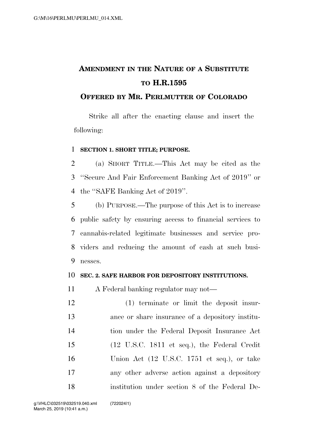# **AMENDMENT IN THE NATURE OF A SUBSTITUTE TO H.R.1595**

### **OFFERED BY MR. PERLMUTTER OF COLORADO**

Strike all after the enacting clause and insert the following:

### **SECTION 1. SHORT TITLE; PURPOSE.**

 (a) SHORT TITLE.—This Act may be cited as the ''Secure And Fair Enforcement Banking Act of 2019'' or the ''SAFE Banking Act of 2019''.

 (b) PURPOSE.—The purpose of this Act is to increase public safety by ensuring access to financial services to cannabis-related legitimate businesses and service pro- viders and reducing the amount of cash at such busi-nesses.

### **SEC. 2. SAFE HARBOR FOR DEPOSITORY INSTITUTIONS.**

A Federal banking regulator may not—

 (1) terminate or limit the deposit insur- ance or share insurance of a depository institu- tion under the Federal Deposit Insurance Act (12 U.S.C. 1811 et seq.), the Federal Credit Union Act (12 U.S.C. 1751 et seq.), or take any other adverse action against a depository institution under section 8 of the Federal De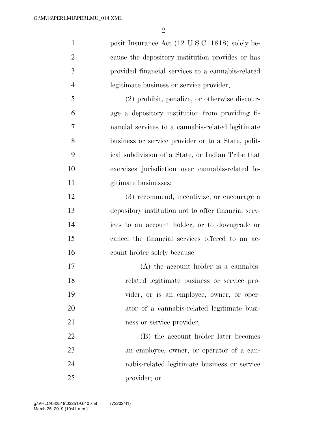$\mathfrak{D}$ 

1 posit Insurance Act (12 U.S.C. 1818) solely be- cause the depository institution provides or has provided financial services to a cannabis-related legitimate business or service provider;

 (2) prohibit, penalize, or otherwise discour- age a depository institution from providing fi- nancial services to a cannabis-related legitimate business or service provider or to a State, polit- ical subdivision of a State, or Indian Tribe that exercises jurisdiction over cannabis-related le-11 gitimate businesses;

 (3) recommend, incentivize, or encourage a depository institution not to offer financial serv- ices to an account holder, or to downgrade or cancel the financial services offered to an ac-16 count holder solely because—

 (A) the account holder is a cannabis- related legitimate business or service pro- vider, or is an employee, owner, or oper- ator of a cannabis-related legitimate busi-21 ness or service provider;

 (B) the account holder later becomes an employee, owner, or operator of a can- nabis-related legitimate business or service provider; or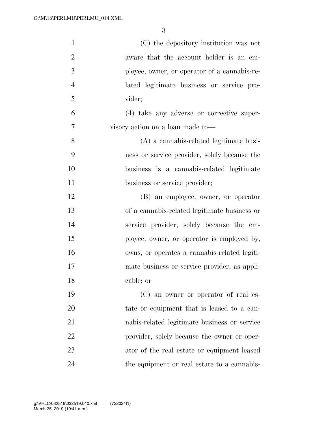| $\mathbf{1}$   | (C) the depository institution was not       |
|----------------|----------------------------------------------|
| $\overline{2}$ | aware that the account holder is an em-      |
| 3              | ployee, owner, or operator of a cannabis-re- |
| $\overline{4}$ | lated legitimate business or service pro-    |
| 5              | vider;                                       |
| 6              | (4) take any adverse or corrective super-    |
| 7              | visory action on a loan made to-             |
| 8              | (A) a cannabis-related legitimate busi-      |
| 9              | ness or service provider, solely because the |
| 10             | business is a cannabis-related legitimate    |
| 11             | business or service provider;                |
| 12             | (B) an employee, owner, or operator          |
| 13             | of a cannabis-related legitimate business or |
| 14             | service provider, solely because the em-     |
| 15             | ployee, owner, or operator is employed by,   |
| 16             | owns, or operates a cannabis-related legiti- |
| 17             | mate business or service provider, as appli- |
| 18             | cable; or                                    |
| 19             | (C) an owner or operator of real es-         |
| 20             | tate or equipment that is leased to a can-   |
| 21             | nabis-related legitimate business or service |
| 22             | provider, solely because the owner or oper-  |
| 23             | ator of the real estate or equipment leased  |
| 24             | the equipment or real estate to a cannabis-  |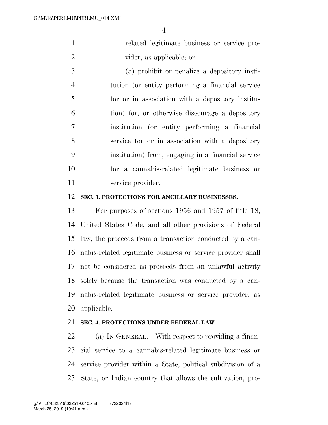related legitimate business or service pro-vider, as applicable; or

 (5) prohibit or penalize a depository insti- tution (or entity performing a financial service for or in association with a depository institu- tion) for, or otherwise discourage a depository institution (or entity performing a financial service for or in association with a depository institution) from, engaging in a financial service for a cannabis-related legitimate business or service provider.

### **SEC. 3. PROTECTIONS FOR ANCILLARY BUSINESSES.**

 For purposes of sections 1956 and 1957 of title 18, United States Code, and all other provisions of Federal law, the proceeds from a transaction conducted by a can- nabis-related legitimate business or service provider shall not be considered as proceeds from an unlawful activity solely because the transaction was conducted by a can- nabis-related legitimate business or service provider, as applicable.

### **SEC. 4. PROTECTIONS UNDER FEDERAL LAW.**

 (a) IN GENERAL.—With respect to providing a finan- cial service to a cannabis-related legitimate business or service provider within a State, political subdivision of a State, or Indian country that allows the cultivation, pro-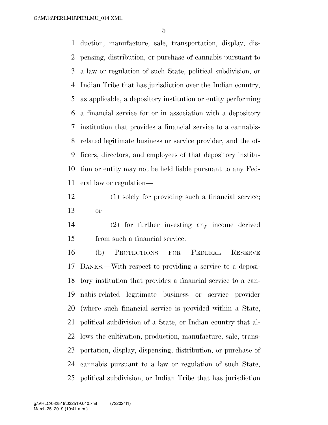duction, manufacture, sale, transportation, display, dis- pensing, distribution, or purchase of cannabis pursuant to a law or regulation of such State, political subdivision, or Indian Tribe that has jurisdiction over the Indian country, as applicable, a depository institution or entity performing a financial service for or in association with a depository institution that provides a financial service to a cannabis- related legitimate business or service provider, and the of- ficers, directors, and employees of that depository institu- tion or entity may not be held liable pursuant to any Fed-eral law or regulation—

- (1) solely for providing such a financial service; or
- (2) for further investing any income derived from such a financial service.

 (b) PROTECTIONS FOR FEDERAL RESERVE BANKS.—With respect to providing a service to a deposi- tory institution that provides a financial service to a can- nabis-related legitimate business or service provider (where such financial service is provided within a State, political subdivision of a State, or Indian country that al- lows the cultivation, production, manufacture, sale, trans- portation, display, dispensing, distribution, or purchase of cannabis pursuant to a law or regulation of such State, political subdivision, or Indian Tribe that has jurisdiction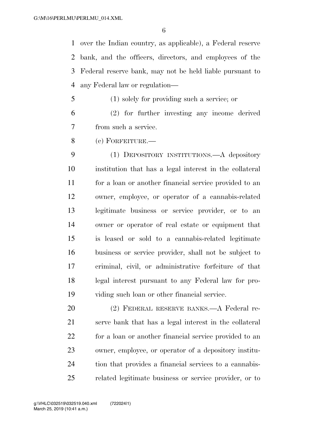over the Indian country, as applicable), a Federal reserve bank, and the officers, directors, and employees of the Federal reserve bank, may not be held liable pursuant to any Federal law or regulation—

- (1) solely for providing such a service; or (2) for further investing any income derived
- from such a service.
- (c) FORFEITURE.—

 (1) DEPOSITORY INSTITUTIONS.—A depository institution that has a legal interest in the collateral for a loan or another financial service provided to an owner, employee, or operator of a cannabis-related legitimate business or service provider, or to an owner or operator of real estate or equipment that is leased or sold to a cannabis-related legitimate business or service provider, shall not be subject to criminal, civil, or administrative forfeiture of that legal interest pursuant to any Federal law for pro-viding such loan or other financial service.

 (2) FEDERAL RESERVE BANKS.—A Federal re- serve bank that has a legal interest in the collateral for a loan or another financial service provided to an owner, employee, or operator of a depository institu- tion that provides a financial services to a cannabis-related legitimate business or service provider, or to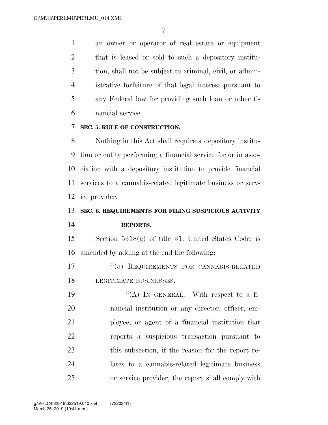an owner or operator of real estate or equipment that is leased or sold to such a depository institu- tion, shall not be subject to criminal, civil, or admin- istrative forfeiture of that legal interest pursuant to any Federal law for providing such loan or other fi-nancial service.

### **SEC. 5. RULE OF CONSTRUCTION.**

 Nothing in this Act shall require a depository institu- tion or entity performing a financial service for or in asso- ciation with a depository institution to provide financial services to a cannabis-related legitimate business or serv-ice provider.

## **SEC. 6. REQUIREMENTS FOR FILING SUSPICIOUS ACTIVITY REPORTS.**

 Section 5318(g) of title 31, United States Code, is amended by adding at the end the following:

 ''(5) REQUIREMENTS FOR CANNABIS-RELATED LEGITIMATE BUSINESSES.—

 $((A)$  In GENERAL.—With respect to a fi- nancial institution or any director, officer, em- ployee, or agent of a financial institution that reports a suspicious transaction pursuant to this subsection, if the reason for the report re- lates to a cannabis-related legitimate business or service provider, the report shall comply with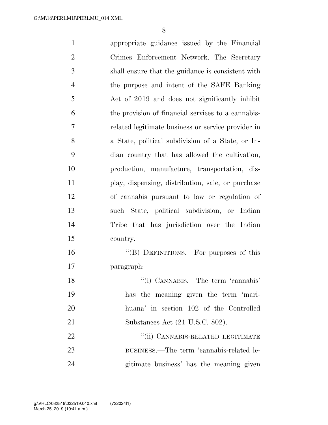appropriate guidance issued by the Financial Crimes Enforcement Network. The Secretary shall ensure that the guidance is consistent with the purpose and intent of the SAFE Banking Act of 2019 and does not significantly inhibit the provision of financial services to a cannabis- related legitimate business or service provider in a State, political subdivision of a State, or In- dian country that has allowed the cultivation, production, manufacture, transportation, dis- play, dispensing, distribution, sale, or purchase of cannabis pursuant to law or regulation of such State, political subdivision, or Indian Tribe that has jurisdiction over the Indian country. ''(B) DEFINITIONS.—For purposes of this paragraph: 18 ''(i) CANNABIS.—The term 'cannabis' has the meaning given the term 'mari- huana' in section 102 of the Controlled Substances Act (21 U.S.C. 802). 22 "(ii) CANNABIS-RELATED LEGITIMATE BUSINESS.—The term 'cannabis-related le-gitimate business' has the meaning given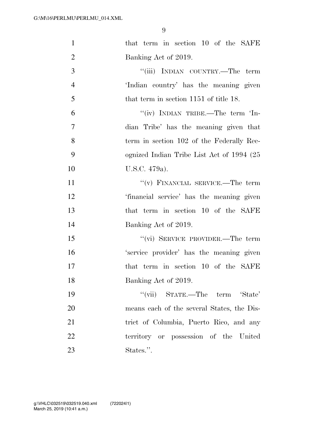| $\mathbf{1}$   | that term in section 10 of the SAFE        |
|----------------|--------------------------------------------|
| $\overline{2}$ | Banking Act of 2019.                       |
| 3              | "(iii) INDIAN COUNTRY.—The term            |
| $\overline{4}$ | 'Indian country' has the meaning given     |
| 5              | that term in section 1151 of title 18.     |
| 6              | "(iv) INDIAN TRIBE.—The term $\text{In}$ - |
| 7              | dian Tribe' has the meaning given that     |
| 8              | term in section 102 of the Federally Rec-  |
| 9              | ognized Indian Tribe List Act of 1994 (25) |
| 10             | U.S.C. 479a).                              |
| 11             | "(v) FINANCIAL SERVICE.—The term           |
| 12             | 'financial service' has the meaning given  |
| 13             | that term in section 10 of the SAFE        |
| 14             | Banking Act of 2019.                       |
| 15             | "(vi) SERVICE PROVIDER.—The term           |
| 16             | 'service provider' has the meaning given   |
| 17             | that term in section 10 of the SAFE        |
| 18             | Banking Act of 2019.                       |
| 19             | "(vii) STATE.—The term 'State'             |
| 20             | means each of the several States, the Dis- |
| 21             | trict of Columbia, Puerto Rico, and any    |
| 22             | territory or possession of the United      |
| 23             | States.".                                  |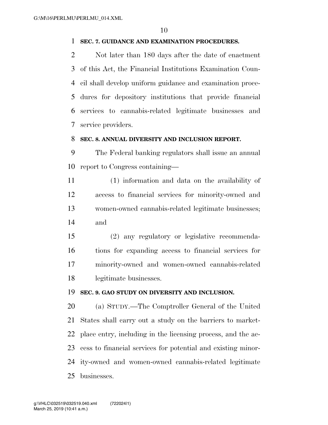### **SEC. 7. GUIDANCE AND EXAMINATION PROCEDURES.**

 Not later than 180 days after the date of enactment of this Act, the Financial Institutions Examination Coun- cil shall develop uniform guidance and examination proce- dures for depository institutions that provide financial services to cannabis-related legitimate businesses and service providers.

### **SEC. 8. ANNUAL DIVERSITY AND INCLUSION REPORT.**

 The Federal banking regulators shall issue an annual report to Congress containing—

 (1) information and data on the availability of access to financial services for minority-owned and women-owned cannabis-related legitimate businesses; and

 (2) any regulatory or legislative recommenda- tions for expanding access to financial services for minority-owned and women-owned cannabis-related legitimate businesses.

### **SEC. 9. GAO STUDY ON DIVERSITY AND INCLUSION.**

 (a) STUDY.—The Comptroller General of the United States shall carry out a study on the barriers to market- place entry, including in the licensing process, and the ac- cess to financial services for potential and existing minor- ity-owned and women-owned cannabis-related legitimate businesses.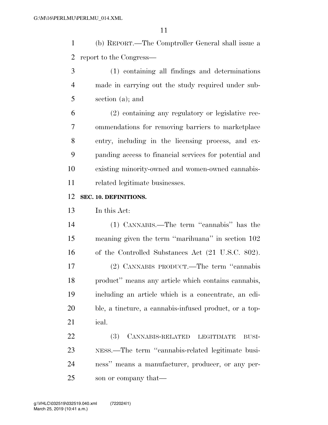(b) REPORT.—The Comptroller General shall issue a report to the Congress—

 (1) containing all findings and determinations made in carrying out the study required under sub-section (a); and

 (2) containing any regulatory or legislative rec- ommendations for removing barriers to marketplace entry, including in the licensing process, and ex- panding access to financial services for potential and existing minority-owned and women-owned cannabis-related legitimate businesses.

### **SEC. 10. DEFINITIONS.**

In this Act:

 (1) CANNABIS.—The term ''cannabis'' has the meaning given the term ''marihuana'' in section 102 16 of the Controlled Substances Act (21 U.S.C. 802). (2) CANNABIS PRODUCT.—The term ''cannabis product'' means any article which contains cannabis, including an article which is a concentrate, an edi- ble, a tincture, a cannabis-infused product, or a top-ical.

 (3) CANNABIS-RELATED LEGITIMATE BUSI- NESS.—The term ''cannabis-related legitimate busi- ness'' means a manufacturer, producer, or any per-son or company that—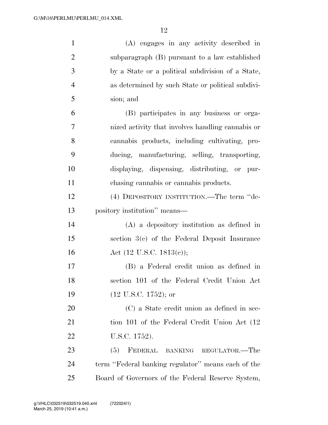| $\mathbf{1}$   | (A) engages in any activity described in           |
|----------------|----------------------------------------------------|
| $\overline{2}$ | subparagraph (B) pursuant to a law established     |
| 3              | by a State or a political subdivision of a State,  |
| $\overline{4}$ | as determined by such State or political subdivi-  |
| 5              | sion; and                                          |
| 6              | (B) participates in any business or orga-          |
| $\overline{7}$ | nized activity that involves handling cannabis or  |
| 8              | cannabis products, including cultivating, pro-     |
| 9              | ducing, manufacturing, selling, transporting,      |
| 10             | displaying, dispensing, distributing, or pur-      |
| 11             | chasing cannabis or cannabis products.             |
| 12             | (4) DEPOSITORY INSTITUTION.—The term "de-          |
| 13             | pository institution" means—                       |
| 14             | $(A)$ a depository institution as defined in       |
| 15             | section $3(c)$ of the Federal Deposit Insurance    |
| 16             | Act $(12 \text{ U.S.C. } 1813(c));$                |
| 17             | (B) a Federal credit union as defined in           |
| 18             | section 101 of the Federal Credit Union Act        |
| 19             | $(12 \text{ U.S.C. } 1752)$ ; or                   |
| 20             | (C) a State credit union as defined in sec-        |
| 21             | tion 101 of the Federal Credit Union Act (12)      |
| 22             | U.S.C. 1752).                                      |
| 23             | FEDERAL BANKING REGULATOR.-The<br>(5)              |
| 24             | term "Federal banking regulator" means each of the |
| 25             | Board of Governors of the Federal Reserve System,  |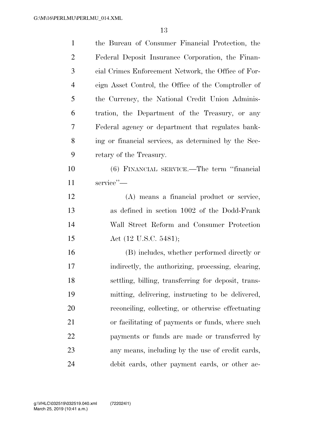| $\mathbf{1}$   | the Bureau of Consumer Financial Protection, the     |
|----------------|------------------------------------------------------|
| $\overline{2}$ | Federal Deposit Insurance Corporation, the Finan-    |
| 3              | cial Crimes Enforcement Network, the Office of For-  |
| $\overline{4}$ | eign Asset Control, the Office of the Comptroller of |
| 5              | the Currency, the National Credit Union Adminis-     |
| 6              | tration, the Department of the Treasury, or any      |
| 7              | Federal agency or department that regulates bank-    |
| 8              | ing or financial services, as determined by the Sec- |
| 9              | retary of the Treasury.                              |
| 10             | (6) FINANCIAL SERVICE.—The term "financial           |
| 11             | service"-                                            |
| 12             | (A) means a financial product or service,            |
| 13             | as defined in section 1002 of the Dodd-Frank         |
| 14             | Wall Street Reform and Consumer Protection           |
| 15             | Act (12 U.S.C. 5481);                                |
| 16             | (B) includes, whether performed directly or          |
| 17             | indirectly, the authorizing, processing, clearing,   |
| 18             | settling, billing, transferring for deposit, trans-  |
| 19             | mitting, delivering, instructing to be delivered,    |
| 20             | reconciling, collecting, or otherwise effectuating   |
| 21             | or facilitating of payments or funds, where such     |
| 22             | payments or funds are made or transferred by         |
| 23             | any means, including by the use of credit cards,     |
| 24             | debit cards, other payment cards, or other ac-       |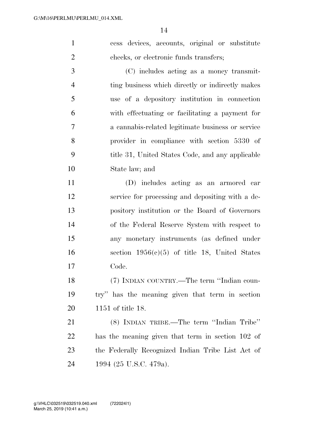cess devices, accounts, original or substitute checks, or electronic funds transfers;

 (C) includes acting as a money transmit- ting business which directly or indirectly makes use of a depository institution in connection with effectuating or facilitating a payment for a cannabis-related legitimate business or service provider in compliance with section 5330 of title 31, United States Code, and any applicable State law; and

 (D) includes acting as an armored car service for processing and depositing with a de- pository institution or the Board of Governors of the Federal Reserve System with respect to any monetary instruments (as defined under 16 section  $1956(c)(5)$  of title 18, United States Code.

 (7) INDIAN COUNTRY.—The term ''Indian coun- try'' has the meaning given that term in section 1151 of title 18.

 (8) INDIAN TRIBE.—The term ''Indian Tribe'' has the meaning given that term in section 102 of the Federally Recognized Indian Tribe List Act of 1994 (25 U.S.C. 479a).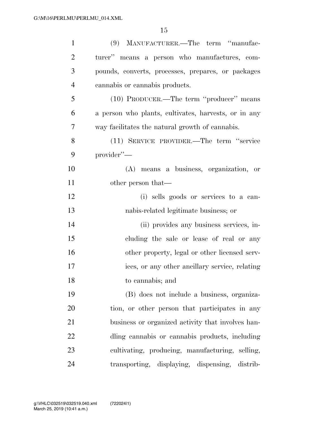| $\mathbf{1}$   | (9) MANUFACTURER.—The term "manufac-                 |
|----------------|------------------------------------------------------|
| $\overline{2}$ | turer" means a person who manufactures, com-         |
| 3              | pounds, converts, processes, prepares, or packages   |
| $\overline{4}$ | cannabis or cannabis products.                       |
| 5              | (10) PRODUCER.—The term "producer" means             |
| 6              | a person who plants, cultivates, harvests, or in any |
| 7              | way facilitates the natural growth of cannabis.      |
| 8              | (11) SERVICE PROVIDER.—The term "service             |
| 9              | provider"-                                           |
| 10             | (A) means a business, organization, or               |
| 11             | other person that—                                   |
| 12             | (i) sells goods or services to a can-                |
| 13             | nabis-related legitimate business; or                |
| 14             | (ii) provides any business services, in-             |
| 15             | cluding the sale or lease of real or any             |
| 16             | other property, legal or other licensed serv-        |
| 17             | ices, or any other ancillary service, relating       |
| 18             | to cannabis; and                                     |
| 19             | (B) does not include a business, organiza-           |
| 20             | tion, or other person that participates in any       |
| 21             | business or organized activity that involves han-    |
| 22             | dling cannabis or cannabis products, including       |
| 23             | cultivating, producing, manufacturing, selling,      |
| 24             | transporting, displaying, dispensing, distrib-       |